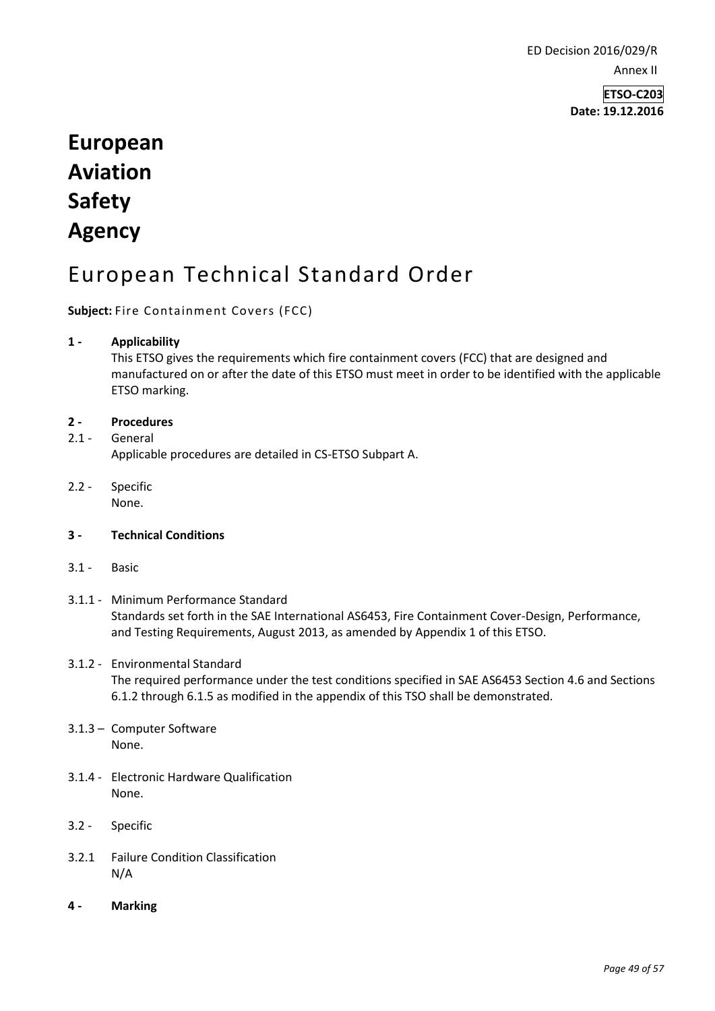ED Decision 2016/029/R Annex II

> **ETSO-C203 Date: 19.12.2016**

# **European Aviation Safety Agency**

# European Technical Standard Order

## **Subject:** Fire Containment Covers (FCC)

#### **1 - Applicability**

This ETSO gives the requirements which fire containment covers (FCC) that are designed and manufactured on or after the date of this ETSO must meet in order to be identified with the applicable ETSO marking.

#### **2 - Procedures**

2.1 - General Applicable procedures are detailed in CS-ETSO Subpart A.

2.2 - Specific None.

#### **3 - Technical Conditions**

- 3.1 Basic
- 3.1.1 Minimum Performance Standard Standards set forth in the SAE International AS6453, Fire Containment Cover-Design, Performance, and Testing Requirements, August 2013, as amended by Appendix 1 of this ETSO.

## 3.1.2 - Environmental Standard The required performance under the test conditions specified in SAE AS6453 Section 4.6 and Sections 6.1.2 through 6.1.5 as modified in the appendix of this TSO shall be demonstrated.

- 3.1.3 Computer Software None.
- 3.1.4 Electronic Hardware Qualification None.
- 3.2 Specific
- 3.2.1 Failure Condition Classification N/A
- **4 - Marking**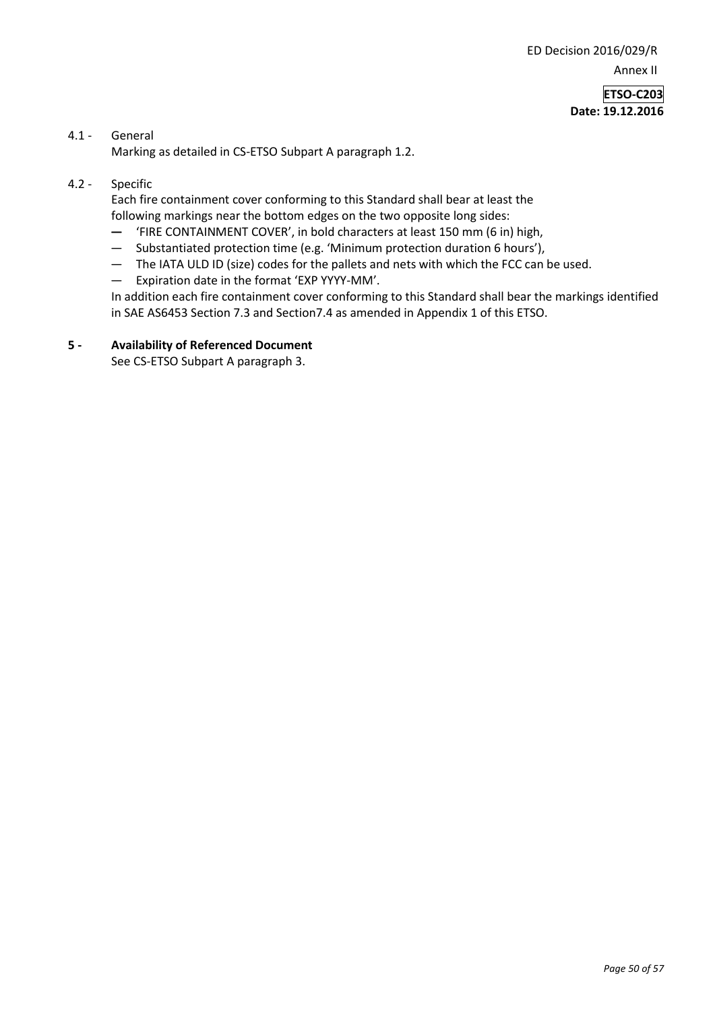ED Decision 2016/029/R Annex II

> **ETSO-C203 Date: 19.12.2016**

# 4.1 - General

Marking as detailed in CS-ETSO Subpart A paragraph 1.2.

#### 4.2 - Specific

Each fire containment cover conforming to this Standard shall bear at least the following markings near the bottom edges on the two opposite long sides:

- **—** 'FIRE CONTAINMENT COVER', in bold characters at least 150 mm (6 in) high,
- Substantiated protection time (e.g. 'Minimum protection duration 6 hours'),
- The IATA ULD ID (size) codes for the pallets and nets with which the FCC can be used.
- Expiration date in the format 'EXP YYYY-MM'.

In addition each fire containment cover conforming to this Standard shall bear the markings identified in SAE AS6453 Section 7.3 and Section7.4 as amended in Appendix 1 of this ETSO.

### **5 - Availability of Referenced Document**

See CS-ETSO Subpart A paragraph 3.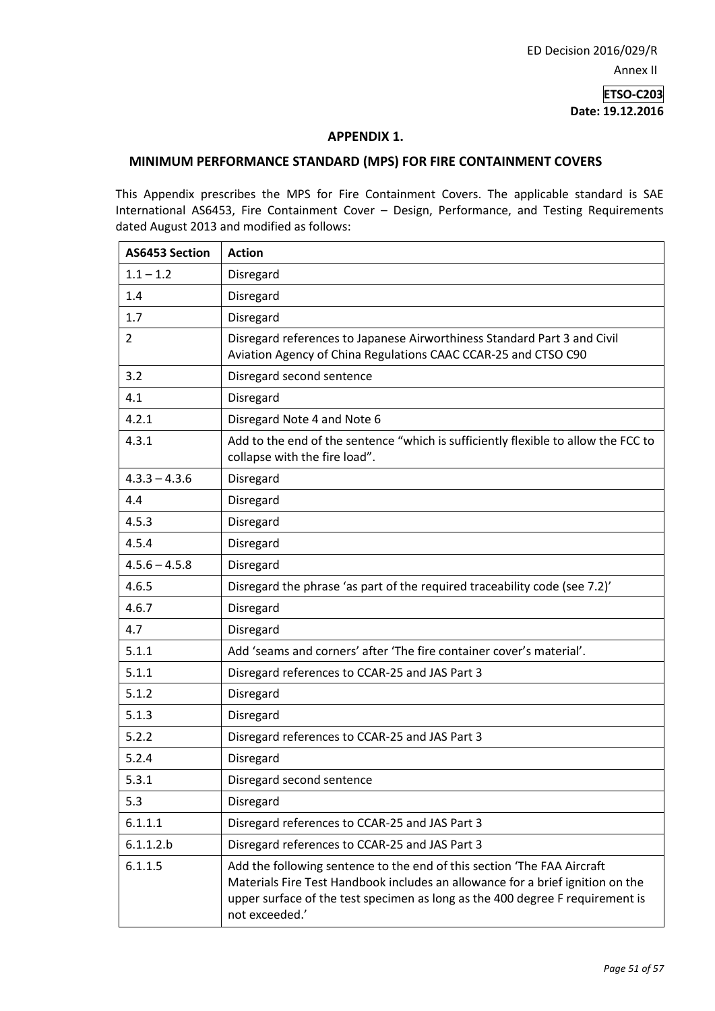### **ETSO-C203 Date: 19.12.2016**

#### **APPENDIX 1.**

#### **MINIMUM PERFORMANCE STANDARD (MPS) FOR FIRE CONTAINMENT COVERS**

This Appendix prescribes the MPS for Fire Containment Covers. The applicable standard is SAE International AS6453, Fire Containment Cover – Design, Performance, and Testing Requirements dated August 2013 and modified as follows:

| AS6453 Section  | <b>Action</b>                                                                                                                                                                                                                                                |
|-----------------|--------------------------------------------------------------------------------------------------------------------------------------------------------------------------------------------------------------------------------------------------------------|
| $1.1 - 1.2$     | Disregard                                                                                                                                                                                                                                                    |
| 1.4             | Disregard                                                                                                                                                                                                                                                    |
| 1.7             | Disregard                                                                                                                                                                                                                                                    |
| 2               | Disregard references to Japanese Airworthiness Standard Part 3 and Civil<br>Aviation Agency of China Regulations CAAC CCAR-25 and CTSO C90                                                                                                                   |
| 3.2             | Disregard second sentence                                                                                                                                                                                                                                    |
| 4.1             | Disregard                                                                                                                                                                                                                                                    |
| 4.2.1           | Disregard Note 4 and Note 6                                                                                                                                                                                                                                  |
| 4.3.1           | Add to the end of the sentence "which is sufficiently flexible to allow the FCC to<br>collapse with the fire load".                                                                                                                                          |
| $4.3.3 - 4.3.6$ | Disregard                                                                                                                                                                                                                                                    |
| 4.4             | Disregard                                                                                                                                                                                                                                                    |
| 4.5.3           | Disregard                                                                                                                                                                                                                                                    |
| 4.5.4           | Disregard                                                                                                                                                                                                                                                    |
| $4.5.6 - 4.5.8$ | Disregard                                                                                                                                                                                                                                                    |
| 4.6.5           | Disregard the phrase 'as part of the required traceability code (see 7.2)'                                                                                                                                                                                   |
| 4.6.7           | Disregard                                                                                                                                                                                                                                                    |
| 4.7             | Disregard                                                                                                                                                                                                                                                    |
| 5.1.1           | Add 'seams and corners' after 'The fire container cover's material'.                                                                                                                                                                                         |
| 5.1.1           | Disregard references to CCAR-25 and JAS Part 3                                                                                                                                                                                                               |
| 5.1.2           | Disregard                                                                                                                                                                                                                                                    |
| 5.1.3           | Disregard                                                                                                                                                                                                                                                    |
| 5.2.2           | Disregard references to CCAR-25 and JAS Part 3                                                                                                                                                                                                               |
| 5.2.4           | Disregard                                                                                                                                                                                                                                                    |
| 5.3.1           | Disregard second sentence                                                                                                                                                                                                                                    |
| 5.3             | Disregard                                                                                                                                                                                                                                                    |
| 6.1.1.1         | Disregard references to CCAR-25 and JAS Part 3                                                                                                                                                                                                               |
| 6.1.1.2.b       | Disregard references to CCAR-25 and JAS Part 3                                                                                                                                                                                                               |
| 6.1.1.5         | Add the following sentence to the end of this section 'The FAA Aircraft<br>Materials Fire Test Handbook includes an allowance for a brief ignition on the<br>upper surface of the test specimen as long as the 400 degree F requirement is<br>not exceeded.' |